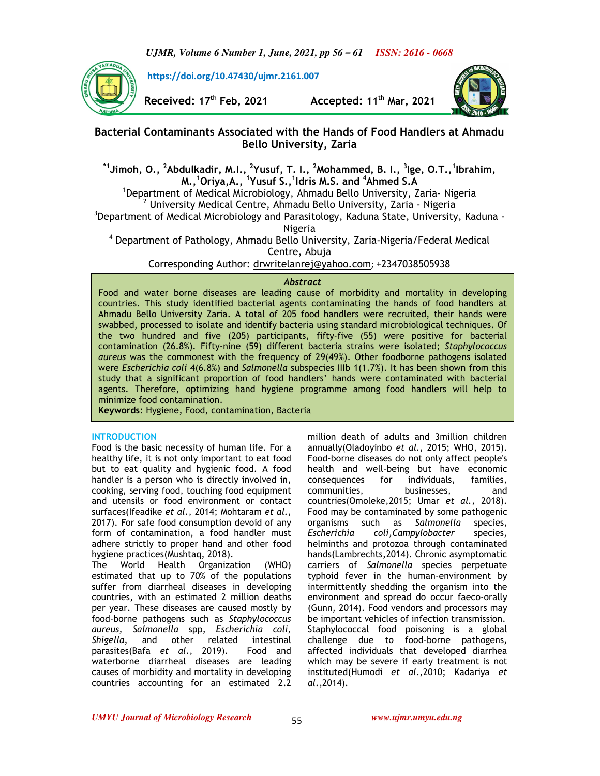*UJMR, Volume 6 Number 1, June, 2021, pp 56 – 61 ISSN: 2616 - 0668*



**https://doi.org/10.47430/ujmr.2161.007**

**Received: 17th Feb, 2021 Accepted: 11th Mar, 2021**



# **Bacterial Contaminants Associated with the Hands of Food Handlers at Ahmadu Bello University, Zaria**

**\*1Jimoh, O., <sup>2</sup>Abdulkadir, M.I., <sup>2</sup>Yusuf, T. I., <sup>2</sup>Mohammed, B. I., <sup>3</sup> Ige, O.T.,<sup>1</sup> Ibrahim, M.,<sup>1</sup>Oriya,A., <sup>1</sup> Yusuf S.,<sup>1</sup> Idris M.S. and <sup>4</sup>Ahmed S.A**

<sup>1</sup>Department of Medical Microbiology, Ahmadu Bello University, Zaria- Nigeria <sup>2</sup> University Medical Centre, Ahmadu Bello University, Zaria - Nigeria

<sup>3</sup>Department of Medical Microbiology and Parasitology, Kaduna State, University, Kaduna -Nigeria

4 Department of Pathology, Ahmadu Bello University, Zaria-Nigeria/Federal Medical Centre, Abuja

Corresponding Author: drwritelanrej@yahoo.com; +2347038505938

## *Abstract*

Food and water borne diseases are leading cause of morbidity and mortality in developing countries. This study identified bacterial agents contaminating the hands of food handlers at Ahmadu Bello University Zaria. A total of 205 food handlers were recruited, their hands were swabbed, processed to isolate and identify bacteria using standard microbiological techniques. Of the two hundred and five (205) participants, fifty-five (55) were positive for bacterial contamination (26.8%). Fifty-nine (59) different bacteria strains were isolated; *Staphylococcus aureus* was the commonest with the frequency of 29(49%). Other foodborne pathogens isolated were *Escherichia coli* 4(6.8%) and *Salmonella* subspecies IIIb 1(1.7%). It has been shown from this study that a significant proportion of food handlers' hands were contaminated with bacterial agents. Therefore, optimizing hand hygiene programme among food handlers will help to minimize food contamination.

**Keywords**: Hygiene, Food, contamination, Bacteria

### **INTRODUCTION**

Food is the basic necessity of human life. For a healthy life, it is not only important to eat food but to eat quality and hygienic food. A food handler is a person who is directly involved in, cooking, serving food, touching food equipment and utensils or food environment or contact surfaces(Ifeadike *et al*., 2014; Mohtaram *et al*., 2017). For safe food consumption devoid of any form of contamination, a food handler must adhere strictly to proper hand and other food hygiene practices(Mushtaq, 2018).

The World Health Organization (WHO) estimated that up to 70% of the populations suffer from diarrheal diseases in developing countries, with an estimated 2 million deaths per year. These diseases are caused mostly by food-borne pathogens such as *Staphylococcus aureus, Salmonella* spp*, Escherichia coli, Shigella*, and other related intestinal parasites(Bafa *et al*., 2019). Food and waterborne diarrheal diseases are leading causes of morbidity and mortality in developing countries accounting for an estimated 2.2

million death of adults and 3million children annually(Oladoyinbo *et al.*, 2015; WHO, 2015). Food-borne diseases do not only affect people's health and well-being but have economic consequences for individuals, families, communities, businesses, and countries(Omoleke,2015; Umar *et al.,* 2018). Food may be contaminated by some pathogenic organisms such as *Salmonella* species, *Escherichia coli,Campylobacter* species, helminths and protozoa through contaminated hands(Lambrechts,2014). Chronic asymptomatic carriers of *Salmonella* species perpetuate typhoid fever in the human-environment by intermittently shedding the organism into the environment and spread do occur faeco-orally (Gunn, 2014). Food vendors and processors may be important vehicles of infection transmission. Staphylococcal food poisoning is a global challenge due to food-borne pathogens, affected individuals that developed diarrhea which may be severe if early treatment is not instituted(Humodi *et al*.,2010; Kadariya *et al*.,2014).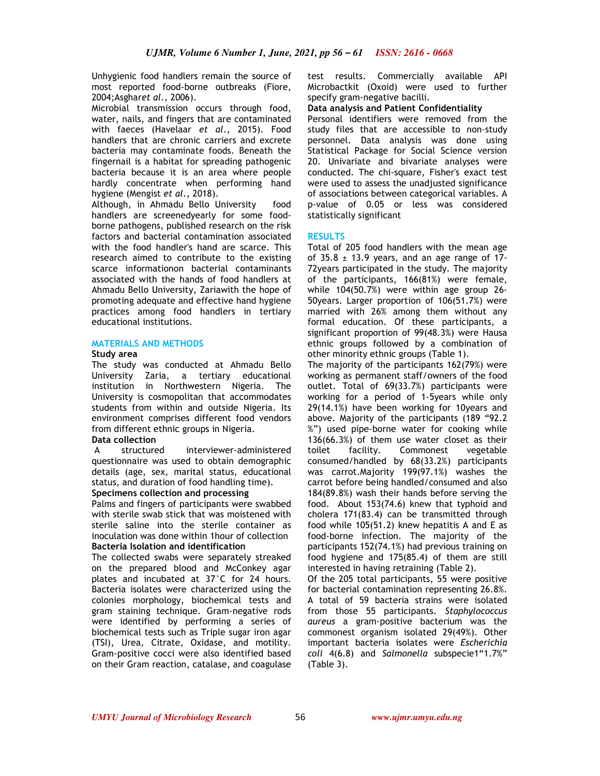Unhygienic food handlers remain the source of most reported food-borne outbreaks (Fiore, 2004;Asghar*et al.,* 2006).

Microbial transmission occurs through food, water, nails, and fingers that are contaminated with faeces (Havelaar *et al*., 2015). Food handlers that are chronic carriers and excrete bacteria may contaminate foods. Beneath the fingernail is a habitat for spreading pathogenic bacteria because it is an area where people hardly concentrate when performing hand hygiene (Mengist *et al*., 2018).

Although, in Ahmadu Bello University food handlers are screenedyearly for some foodborne pathogens, published research on the risk factors and bacterial contamination associated with the food handler's hand are scarce. This research aimed to contribute to the existing scarce informationon bacterial contaminants associated with the hands of food handlers at Ahmadu Bello University, Zariawith the hope of promoting adequate and effective hand hygiene practices among food handlers in tertiary educational institutions.

## **MATERIALS AND METHODS**

### **Study area**

The study was conducted at Ahmadu Bello University Zaria, a tertiary educational institution in Northwestern Nigeria. The University is cosmopolitan that accommodates students from within and outside Nigeria. Its environment comprises different food vendors from different ethnic groups in Nigeria.

## **Data collection**

 A structured interviewer-administered questionnaire was used to obtain demographic details (age, sex, marital status, educational status, and duration of food handling time).

### **Specimens collection and processing**

Palms and fingers of participants were swabbed with sterile swab stick that was moistened with sterile saline into the sterile container as inoculation was done within 1hour of collection **Bacteria Isolation and identification** 

The collected swabs were separately streaked on the prepared blood and McConkey agar plates and incubated at 37°C for 24 hours. Bacteria isolates were characterized using the colonies morphology, biochemical tests and gram staining technique. Gram-negative rods were identified by performing a series of biochemical tests such as Triple sugar iron agar (TSI), Urea, Citrate, Oxidase, and motility. Gram-positive cocci were also identified based on their Gram reaction, catalase, and coagulase

test results. Commercially available API Microbactkit (Oxoid) were used to further specify gram-negative bacilli.

### **Data analysis and Patient Confidentiality**

Personal identifiers were removed from the study files that are accessible to non-study personnel. Data analysis was done using Statistical Package for Social Science version 20. Univariate and bivariate analyses were conducted. The chi-square, Fisher's exact test were used to assess the unadjusted significance of associations between categorical variables. A p-value of 0.05 or less was considered statistically significant

### **RESULTS**

Total of 205 food handlers with the mean age of  $35.8 \pm 13.9$  years, and an age range of 17-72years participated in the study. The majority of the participants, 166(81%) were female, while 104(50.7%) were within age group 26- 50years. Larger proportion of 106(51.7%) were married with 26% among them without any formal education. Of these participants, a significant proportion of 99(48.3%) were Hausa ethnic groups followed by a combination of other minority ethnic groups (Table 1).

The majority of the participants 162(79%) were working as permanent staff/owners of the food outlet. Total of 69(33.7%) participants were working for a period of 1-5years while only 29(14.1%) have been working for 10years and above. Majority of the participants (189 "92.2 %") used pipe-borne water for cooking while 136(66.3%) of them use water closet as their toilet facility. Commonest vegetable consumed/handled by 68(33.2%) participants was carrot.Majority 199(97.1%) washes the carrot before being handled/consumed and also 184(89.8%) wash their hands before serving the food. About 153(74.6) knew that typhoid and cholera 171(83.4) can be transmitted through food while 105(51.2) knew hepatitis A and E as food-borne infection. The majority of the participants 152(74.1%) had previous training on food hygiene and 175(85.4) of them are still interested in having retraining (Table 2).

Of the 205 total participants, 55 were positive for bacterial contamination representing 26.8%. A total of 59 bacteria strains were isolated from those 55 participants. *Staphylococcus aureus* a gram-positive bacterium was the commonest organism isolated 29(49%). Other important bacteria isolates were *Escherichia coli* 4(6.8) and *Salmonella* subspecie1"1.7%" (Table 3).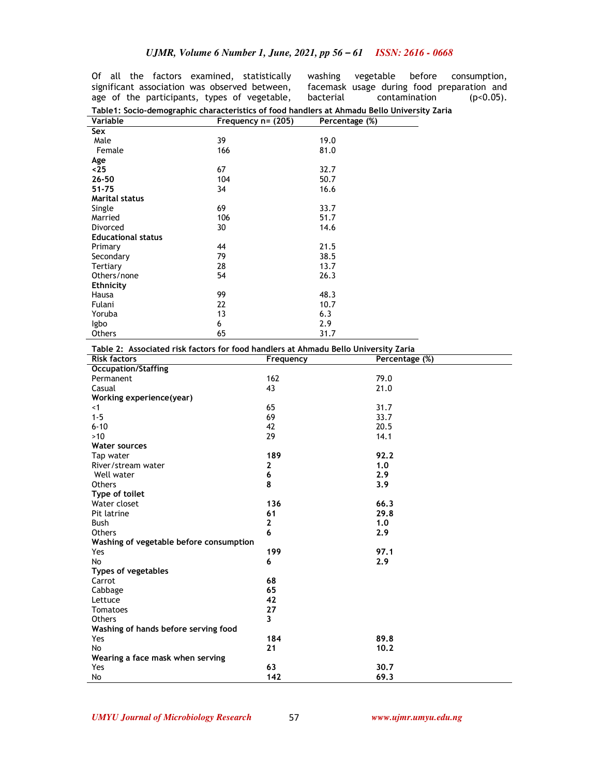Of all the factors examined, statistically significant association was observed between, age of the participants, types of vegetable,

washing vegetable before consumption, facemask usage during food preparation and bacterial contamination (p<0.05).

| Table1: Socio-demographic characteristics of food handlers at Ahmadu Bello University Zaria |                       |                |  |  |  |
|---------------------------------------------------------------------------------------------|-----------------------|----------------|--|--|--|
| Variable                                                                                    | Frequency $n = (205)$ | Percentage (%) |  |  |  |
| Sex                                                                                         |                       |                |  |  |  |
| Male                                                                                        | 39                    | 19.0           |  |  |  |
| Female                                                                                      | 166                   | 81.0           |  |  |  |
| Age                                                                                         |                       |                |  |  |  |
| $25$                                                                                        | 67                    | 32.7           |  |  |  |
| 26-50                                                                                       | 104                   | 50.7           |  |  |  |
| 51-75                                                                                       | 34                    | 16.6           |  |  |  |
| <b>Marital status</b>                                                                       |                       |                |  |  |  |
| Single                                                                                      | 69                    | 33.7           |  |  |  |
| Married                                                                                     | 106                   | 51.7           |  |  |  |
| Divorced                                                                                    | 30                    | 14.6           |  |  |  |
| <b>Educational status</b>                                                                   |                       |                |  |  |  |
| Primary                                                                                     | 44                    | 21.5           |  |  |  |
| Secondary                                                                                   | 79                    | 38.5           |  |  |  |
| Tertiary                                                                                    | 28                    | 13.7           |  |  |  |
| Others/none                                                                                 | 54                    | 26.3           |  |  |  |
| <b>Ethnicity</b>                                                                            |                       |                |  |  |  |
| Hausa                                                                                       | 99                    | 48.3           |  |  |  |
| Fulani                                                                                      | 22                    | 10.7           |  |  |  |
| Yoruba                                                                                      | 13                    | 6.3            |  |  |  |
| lgbo                                                                                        | 6                     | 2.9            |  |  |  |
| Others                                                                                      | 65                    | 31.7           |  |  |  |

| Table 2: Associated risk factors for food handlers at Ahmadu Bello University Zaria |              |                |  |  |  |  |
|-------------------------------------------------------------------------------------|--------------|----------------|--|--|--|--|
| <b>Risk factors</b>                                                                 | Frequency    | Percentage (%) |  |  |  |  |
| <b>Occupation/Staffing</b>                                                          |              |                |  |  |  |  |
| Permanent                                                                           | 162          | 79.0           |  |  |  |  |
| Casual                                                                              | 43           | 21.0           |  |  |  |  |
| Working experience (year)                                                           |              |                |  |  |  |  |
| $<$ 1                                                                               | 65           | 31.7           |  |  |  |  |
| $1 - 5$                                                                             | 69           | 33.7           |  |  |  |  |
| $6 - 10$                                                                            | 42           | 20.5           |  |  |  |  |
| $>10$                                                                               | 29           | 14.1           |  |  |  |  |
| <b>Water sources</b>                                                                |              |                |  |  |  |  |
| Tap water                                                                           | 189          | 92.2           |  |  |  |  |
| River/stream water                                                                  | $\mathbf{z}$ | 1.0            |  |  |  |  |
| Well water                                                                          | 6            | 2.9            |  |  |  |  |
| Others                                                                              | 8            | 3.9            |  |  |  |  |
| Type of toilet                                                                      |              |                |  |  |  |  |
| Water closet                                                                        | 136          | 66.3           |  |  |  |  |
| Pit latrine                                                                         | 61           | 29.8           |  |  |  |  |
| <b>Bush</b>                                                                         | $\mathbf{z}$ | 1.0            |  |  |  |  |
| <b>Others</b>                                                                       | 6            | 2.9            |  |  |  |  |
| Washing of vegetable before consumption                                             |              |                |  |  |  |  |
| Yes                                                                                 | 199          | 97.1           |  |  |  |  |
| <b>No</b>                                                                           | 6            | 2.9            |  |  |  |  |
| <b>Types of vegetables</b>                                                          |              |                |  |  |  |  |
| Carrot                                                                              | 68           |                |  |  |  |  |
| Cabbage                                                                             | 65           |                |  |  |  |  |
| Lettuce                                                                             | 42           |                |  |  |  |  |
| Tomatoes                                                                            | 27           |                |  |  |  |  |
| <b>Others</b>                                                                       | 3            |                |  |  |  |  |
| Washing of hands before serving food                                                |              |                |  |  |  |  |
| Yes                                                                                 | 184          | 89.8           |  |  |  |  |
| <b>No</b>                                                                           | 21           | 10.2           |  |  |  |  |
| Wearing a face mask when serving                                                    |              |                |  |  |  |  |
| Yes                                                                                 | 63           | 30.7           |  |  |  |  |
| No                                                                                  | 142          | 69.3           |  |  |  |  |

*UMYU Journal of Microbiology Research www.ujmr.umyu.edu.ng*

57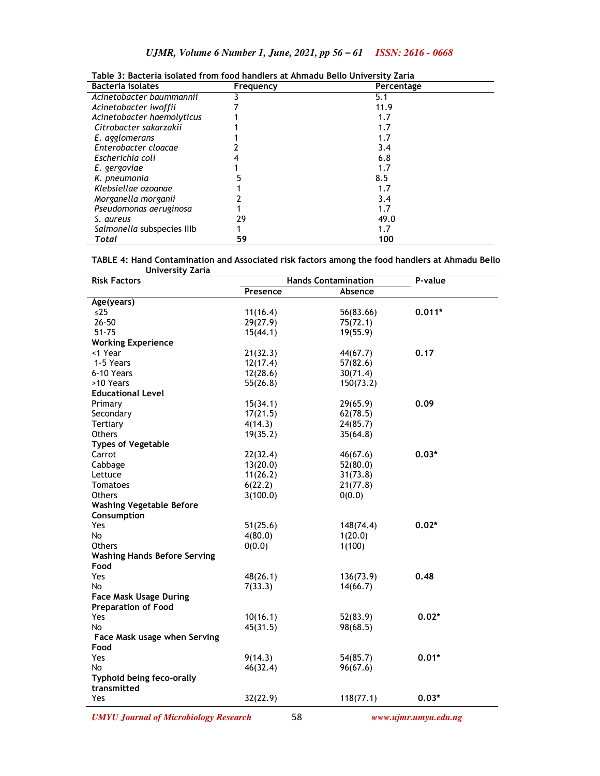| <b>Bacteria</b> isolates   | Frequency | Percentage |  |
|----------------------------|-----------|------------|--|
| Acinetobacter baummannii   |           | 5.1        |  |
| Acinetobacter iwoffii      |           | 11.9       |  |
| Acinetobacter haemolyticus |           | 1.7        |  |
| Citrobacter sakarzakii     |           | 1.7        |  |
| E. agglomerans             |           | 1.7        |  |
| Enterobacter cloacae       |           | 3.4        |  |
| Escherichia coli           |           | 6.8        |  |
| E. gergoviae               |           | 1.7        |  |
| K. pneumonia               |           | 8.5        |  |
| Klebsiellae ozoanae        |           | 1.7        |  |
| Morganella morganii        |           | 3.4        |  |
| Pseudomonas aeruginosa     |           | 1.7        |  |
| S. aureus                  | 29        | 49.0       |  |
| Salmonella subspecies IIIb |           | 1.7        |  |
| Total                      | 59        | 100        |  |

**Table 3: Bacteria isolated from food handlers at Ahmadu Bello University Zaria** 

**TABLE 4: Hand Contamination and Associated risk factors among the food handlers at Ahmadu Bello University Zaria** 

| <b>UIIIVEIJILY</b><br><b>Risk Factors</b> | <b>Hands Contamination</b> |           | P-value  |
|-------------------------------------------|----------------------------|-----------|----------|
|                                           | Presence                   | Absence   |          |
| Age(years)                                |                            |           |          |
| $\leq$ 25                                 | 11(16.4)                   | 56(83.66) | $0.011*$ |
| $26 - 50$                                 | 29(27.9)                   | 75(72.1)  |          |
| $51 - 75$                                 | 15(44.1)                   | 19(55.9)  |          |
| <b>Working Experience</b>                 |                            |           |          |
| <1 Year                                   | 21(32.3)                   | 44(67.7)  | 0.17     |
| 1-5 Years                                 | 12(17.4)                   | 57(82.6)  |          |
| 6-10 Years                                | 12(28.6)                   | 30(71.4)  |          |
| >10 Years                                 | 55(26.8)                   | 150(73.2) |          |
| <b>Educational Level</b>                  |                            |           |          |
| Primary                                   | 15(34.1)                   | 29(65.9)  | 0.09     |
| Secondary                                 | 17(21.5)                   | 62(78.5)  |          |
| Tertiary                                  | 4(14.3)                    | 24(85.7)  |          |
| <b>Others</b>                             | 19(35.2)                   | 35(64.8)  |          |
| <b>Types of Vegetable</b>                 |                            |           |          |
| Carrot                                    | 22(32.4)                   | 46(67.6)  | $0.03*$  |
| Cabbage                                   | 13(20.0)                   | 52(80.0)  |          |
| Lettuce                                   | 11(26.2)                   | 31(73.8)  |          |
| Tomatoes                                  | 6(22.2)                    | 21(77.8)  |          |
| <b>Others</b>                             | 3(100.0)                   | 0(0.0)    |          |
| <b>Washing Vegetable Before</b>           |                            |           |          |
| Consumption                               |                            |           |          |
| Yes                                       | 51(25.6)                   | 148(74.4) | $0.02*$  |
| No                                        | 4(80.0)                    | 1(20.0)   |          |
| <b>Others</b>                             | 0(0.0)                     | 1(100)    |          |
| <b>Washing Hands Before Serving</b>       |                            |           |          |
| Food                                      |                            |           |          |
| Yes                                       | 48(26.1)                   | 136(73.9) | 0.48     |
| No                                        | 7(33.3)                    | 14(66.7)  |          |
| <b>Face Mask Usage During</b>             |                            |           |          |
| <b>Preparation of Food</b>                |                            |           |          |
| Yes                                       | 10(16.1)                   | 52(83.9)  | $0.02*$  |
| <b>No</b>                                 | 45(31.5)                   | 98(68.5)  |          |
| Face Mask usage when Serving              |                            |           |          |
| Food                                      |                            |           |          |
| Yes                                       | 9(14.3)                    | 54(85.7)  | $0.01*$  |
| <b>No</b>                                 | 46(32.4)                   | 96(67.6)  |          |
| Typhoid being feco-orally                 |                            |           |          |
| transmitted                               |                            |           |          |
| Yes                                       | 32(22.9)                   | 118(77.1) | $0.03*$  |
|                                           |                            |           |          |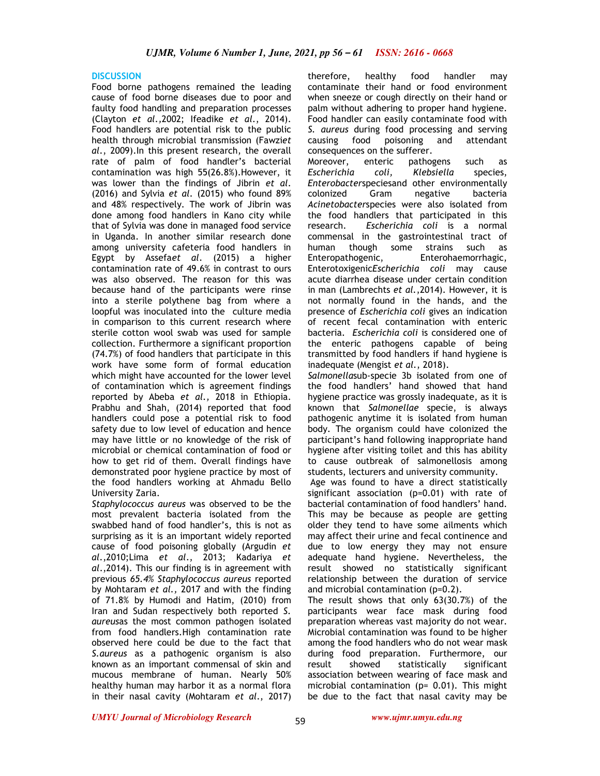### **DISCUSSION**

Food borne pathogens remained the leading cause of food borne diseases due to poor and faulty food handling and preparation processes (Clayton *et al.,*2002; Ifeadike *et al*., 2014). Food handlers are potential risk to the public health through microbial transmission (Fawzi*et al*., 2009).In this present research, the overall rate of palm of food handler's bacterial contamination was high 55(26.8%).However, it was lower than the findings of Jibrin *et al*. (2016) and Sylvia *et al.* (2015) who found 89% and 48% respectively. The work of Jibrin was done among food handlers in Kano city while that of Sylvia was done in managed food service in Uganda. In another similar research done among university cafeteria food handlers in Egypt by Assefa*et al*. (2015) a higher contamination rate of 49.6% in contrast to ours was also observed. The reason for this was because hand of the participants were rinse into a sterile polythene bag from where a loopful was inoculated into the culture media in comparison to this current research where sterile cotton wool swab was used for sample collection. Furthermore a significant proportion (74.7%) of food handlers that participate in this work have some form of formal education which might have accounted for the lower level of contamination which is agreement findings reported by Abeba *et al.,* 2018 in Ethiopia. Prabhu and Shah, (2014) reported that food handlers could pose a potential risk to food safety due to low level of education and hence may have little or no knowledge of the risk of microbial or chemical contamination of food or how to get rid of them. Overall findings have demonstrated poor hygiene practice by most of the food handlers working at Ahmadu Bello University Zaria.

*Staphylococcus aureus* was observed to be the most prevalent bacteria isolated from the swabbed hand of food handler's, this is not as surprising as it is an important widely reported cause of food poisoning globally (Argudin *et al*.,2010;Lima *et al*., 2013; Kadariya *et al*.,2014). This our finding is in agreement with previous *65.4% Staphylococcus aureus* reported by Mohtaram *et al.,* 2017 and with the finding of 71.8% by Humodi and Hatim, (2010) from Iran and Sudan respectively both reported *S. aureus*as the most common pathogen isolated from food handlers.High contamination rate observed here could be due to the fact that *S.aureus* as a pathogenic organism is also known as an important commensal of skin and mucous membrane of human. Nearly 50% healthy human may harbor it as a normal flora in their nasal cavity (Mohtaram *et al*., 2017)

therefore, healthy food handler may contaminate their hand or food environment when sneeze or cough directly on their hand or palm without adhering to proper hand hygiene. Food handler can easily contaminate food with *S. aureus* during food processing and serving causing food poisoning and attendant consequences on the sufferer.

Moreover, enteric pathogens such as *Escherichia coli, Klebsiella* species, *Enterobacter*speciesand other environmentally colonized Gram negative bacteria *Acinetobacter*species were also isolated from the food handlers that participated in this research. *Escherichia coli* is a normal commensal in the gastrointestinal tract of human though some strains such as Enteropathogenic, Enterohaemorrhagic, Enterotoxigenic*Escherichia coli* may cause acute diarrhea disease under certain condition in man (Lambrechts *et al.*,2014). However, it is not normally found in the hands, and the presence of *Escherichia coli* gives an indication of recent fecal contamination with enteric bacteria. *Escherichia coli* is considered one of the enteric pathogens capable of being transmitted by food handlers if hand hygiene is inadequate (Mengist *et al.*, 2018).

*Salmonella*sub-specie 3b isolated from one of the food handlers' hand showed that hand hygiene practice was grossly inadequate, as it is known that *Salmonellae* specie, is always pathogenic anytime it is isolated from human body. The organism could have colonized the participant's hand following inappropriate hand hygiene after visiting toilet and this has ability to cause outbreak of salmonellosis among students, lecturers and university community.

 Age was found to have a direct statistically significant association (p=0.01) with rate of bacterial contamination of food handlers' hand. This may be because as people are getting older they tend to have some ailments which may affect their urine and fecal continence and due to low energy they may not ensure adequate hand hygiene. Nevertheless, the result showed no statistically significant relationship between the duration of service and microbial contamination (p=0.2).

The result shows that only 63(30.7%) of the participants wear face mask during food preparation whereas vast majority do not wear. Microbial contamination was found to be higher among the food handlers who do not wear mask during food preparation. Furthermore, our result showed statistically significant association between wearing of face mask and microbial contamination (p= 0.01). This might be due to the fact that nasal cavity may be

*UMYU Journal of Microbiology Research www.ujmr.umyu.edu.ng*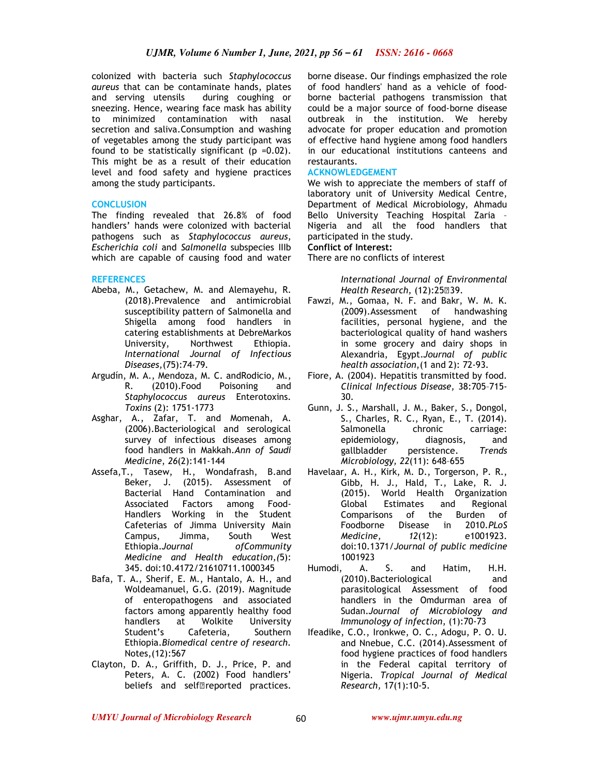colonized with bacteria such *Staphylococcus aureus* that can be contaminate hands, plates and serving utensils during coughing or sneezing. Hence, wearing face mask has ability to minimized contamination with nasal secretion and saliva.Consumption and washing of vegetables among the study participant was found to be statistically significant ( $p = 0.02$ ). This might be as a result of their education level and food safety and hygiene practices among the study participants.

## **CONCLUSION**

The finding revealed that 26.8% of food handlers' hands were colonized with bacterial pathogens such as *Staphylococcus aureus*, *Escherichia coli* and *Salmonella* subspecies IIIb which are capable of causing food and water

## **REFERENCES**

- Abeba, M., Getachew, M. and Alemayehu, R. (2018).Prevalence and antimicrobial susceptibility pattern of Salmonella and Shigella among food handlers in catering establishments at DebreMarkos University, Northwest Ethiopia. *International Journal of Infectious Diseases,*(75):74-79*.*
- Argudín, M. A., Mendoza, M. C. andRodicio, M., R. (2010).Food Poisoning and *Staphylococcus aureus* Enterotoxins*. Toxins* (2): 1751-1773
- Asghar, A., Zafar, T. and Momenah, A. (2006).Bacteriological and serological survey of infectious diseases among food handlers in Makkah.*Ann of Saudi Medicine*, *26*(2):141-144
- Assefa,T., Tasew, H., Wondafrash, B.and Beker, J. (2015). Assessment of Bacterial Hand Contamination and Associated Factors among Food-Handlers Working in the Student Cafeterias of Jimma University Main Campus, Jimma, South West Ethiopia.*Journal ofCommunity Medicine and Health education,(*5): 345. doi:10.4172/21610711.1000345
- Bafa, T. A., Sherif, E. M., Hantalo, A. H., and Woldeamanuel, G.G. (2019). Magnitude of enteropathogens and associated factors among apparently healthy food handlers at Wolkite University Student's Cafeteria, Southern Ethiopia.*Biomedical centre of research.*  Notes,(12):567
- Clayton, D. A., Griffith, D. J., Price, P. and Peters, A. C. (2002) Food handlers' beliefs and self reported practices.

borne disease. Our findings emphasized the role of food handlers' hand as a vehicle of foodborne bacterial pathogens transmission that could be a major source of food-borne disease outbreak in the institution. We hereby advocate for proper education and promotion of effective hand hygiene among food handlers in our educational institutions canteens and restaurants.

## **ACKNOWLEDGEMENT**

We wish to appreciate the members of staff of laboratory unit of University Medical Centre, Department of Medical Microbiology, Ahmadu Bello University Teaching Hospital Zaria – Nigeria and all the food handlers that participated in the study.

### **Conflict of Interest:**

There are no conflicts of interest

*International Journal of Environmental Health Research,* (12):2539.

- Fawzi, M., Gomaa, N. F. and Bakr, W. M. K. (2009).Assessment of handwashing facilities, personal hygiene, and the bacteriological quality of hand washers in some grocery and dairy shops in Alexandria, Egypt.*Journal of public health association*,(1 and 2): 72-93.
- Fiore, A. (2004). Hepatitis transmitted by food. *Clinical Infectious Disease,* 38:705–715- 30.
- Gunn, J. S., Marshall, J. M., Baker, S., Dongol, S., Charles, R. C., Ryan, E., T. (2014). Salmonella chronic carriage: epidemiology, diagnosis, and gallbladder persistence. *Trends Microbiology, 22*(11): 648–655
- Havelaar, A. H., Kirk, M. D., Torgerson, P. R., Gibb, H. J., Hald, T., Lake, R. J. (2015). World Health Organization Global Estimates and Regional Comparisons of the Burden of Foodborne Disease in 2010.*PLoS Medicine, 12*(12): e1001923. doi:10.1371/*Journal of public medicine* 1001923
- Humodi, A. S. and Hatim, H.H. (2010).Bacteriological and parasitological Assessment of food handlers in the Omdurman area of Sudan.*Journal of Microbiology and Immunology of infection*, (1):70-73
- Ifeadike, C.O., Ironkwe, O. C., Adogu, P. O. U. and Nnebue, C.C. (2014).Assessment of food hygiene practices of food handlers in the Federal capital territory of Nigeria. *Tropical Journal of Medical Research,* 17(1):10-5.

60